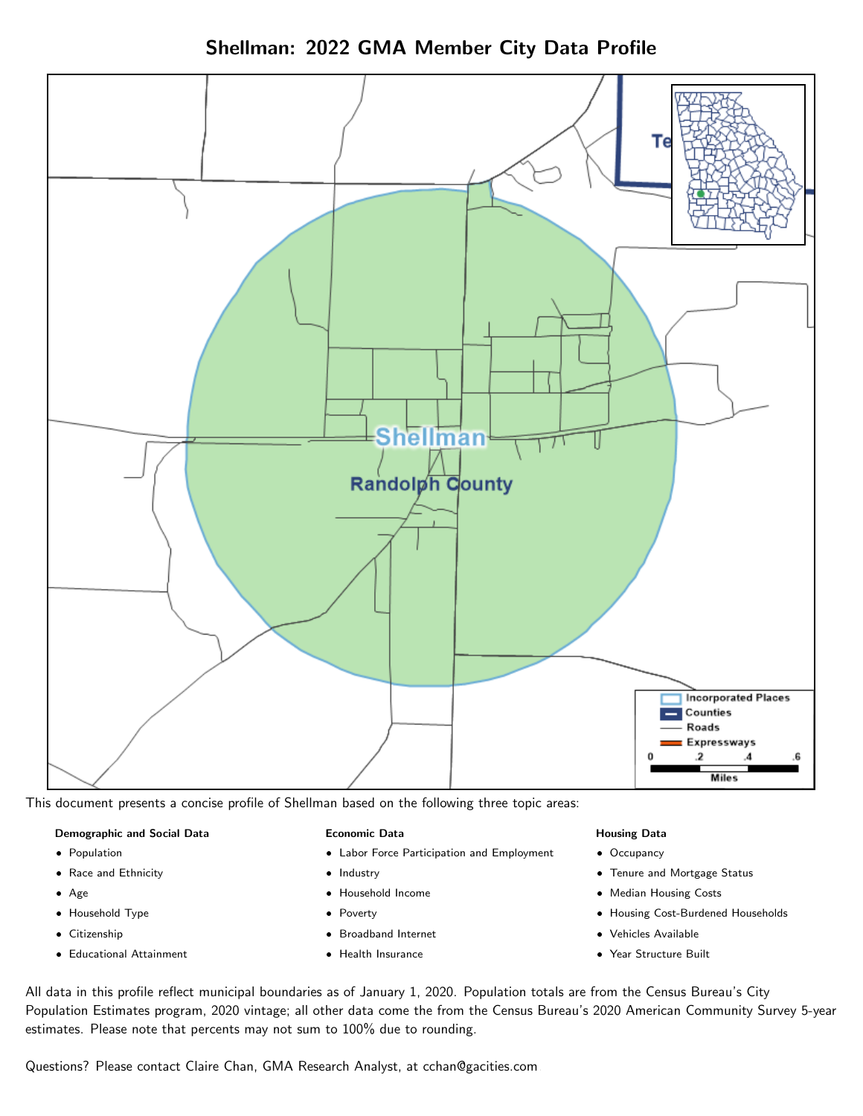Shellman: 2022 GMA Member City Data Profile



This document presents a concise profile of Shellman based on the following three topic areas:

#### Demographic and Social Data

- **•** Population
- Race and Ethnicity
- Age
- Household Type
- **Citizenship**
- Educational Attainment

#### Economic Data

- Labor Force Participation and Employment
- Industry
- Household Income
- Poverty
- Broadband Internet
- Health Insurance

#### Housing Data

- Occupancy
- Tenure and Mortgage Status
- Median Housing Costs
- Housing Cost-Burdened Households
- Vehicles Available
- Year Structure Built

All data in this profile reflect municipal boundaries as of January 1, 2020. Population totals are from the Census Bureau's City Population Estimates program, 2020 vintage; all other data come the from the Census Bureau's 2020 American Community Survey 5-year estimates. Please note that percents may not sum to 100% due to rounding.

Questions? Please contact Claire Chan, GMA Research Analyst, at [cchan@gacities.com.](mailto:cchan@gacities.com)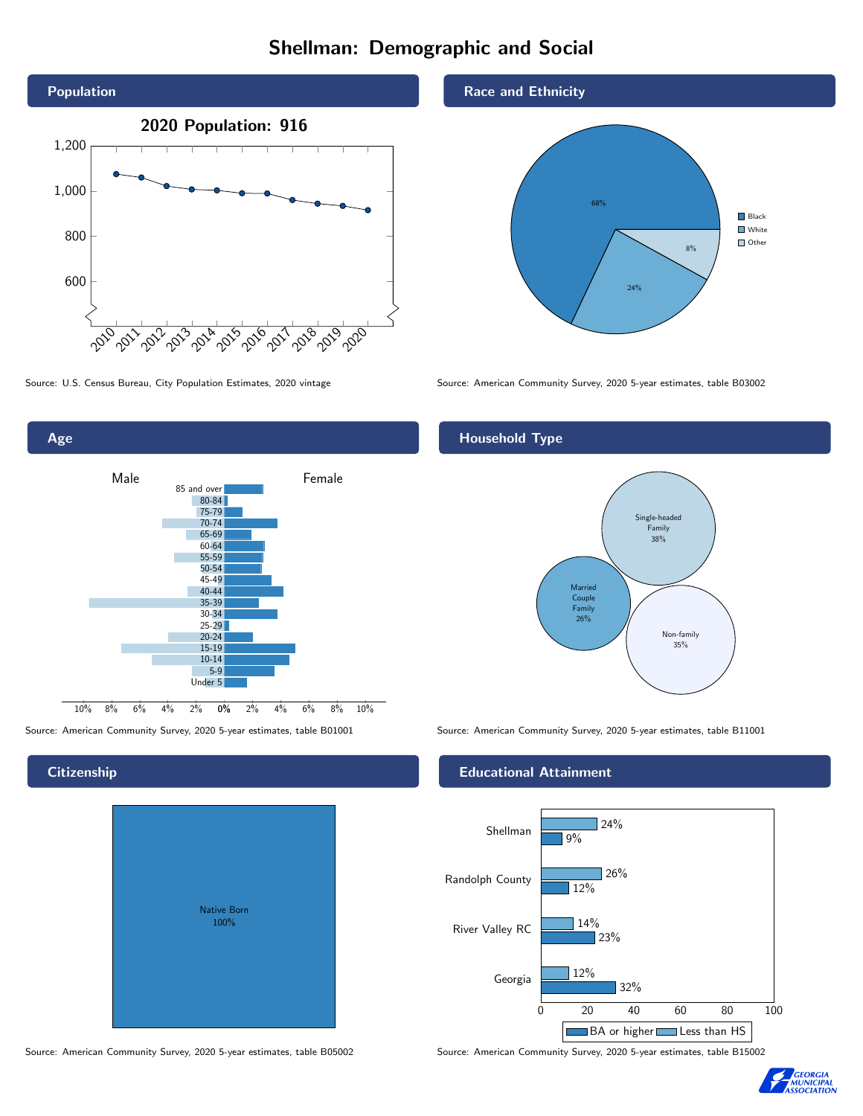# Shellman: Demographic and Social





# **Citizenship**

|  | <b>Native Born</b><br>100% |  |  |
|--|----------------------------|--|--|
|  |                            |  |  |

Race and Ethnicity



Source: U.S. Census Bureau, City Population Estimates, 2020 vintage Source: American Community Survey, 2020 5-year estimates, table B03002

## Household Type



Source: American Community Survey, 2020 5-year estimates, table B01001 Source: American Community Survey, 2020 5-year estimates, table B11001

#### Educational Attainment



Source: American Community Survey, 2020 5-year estimates, table B05002 Source: American Community Survey, 2020 5-year estimates, table B15002

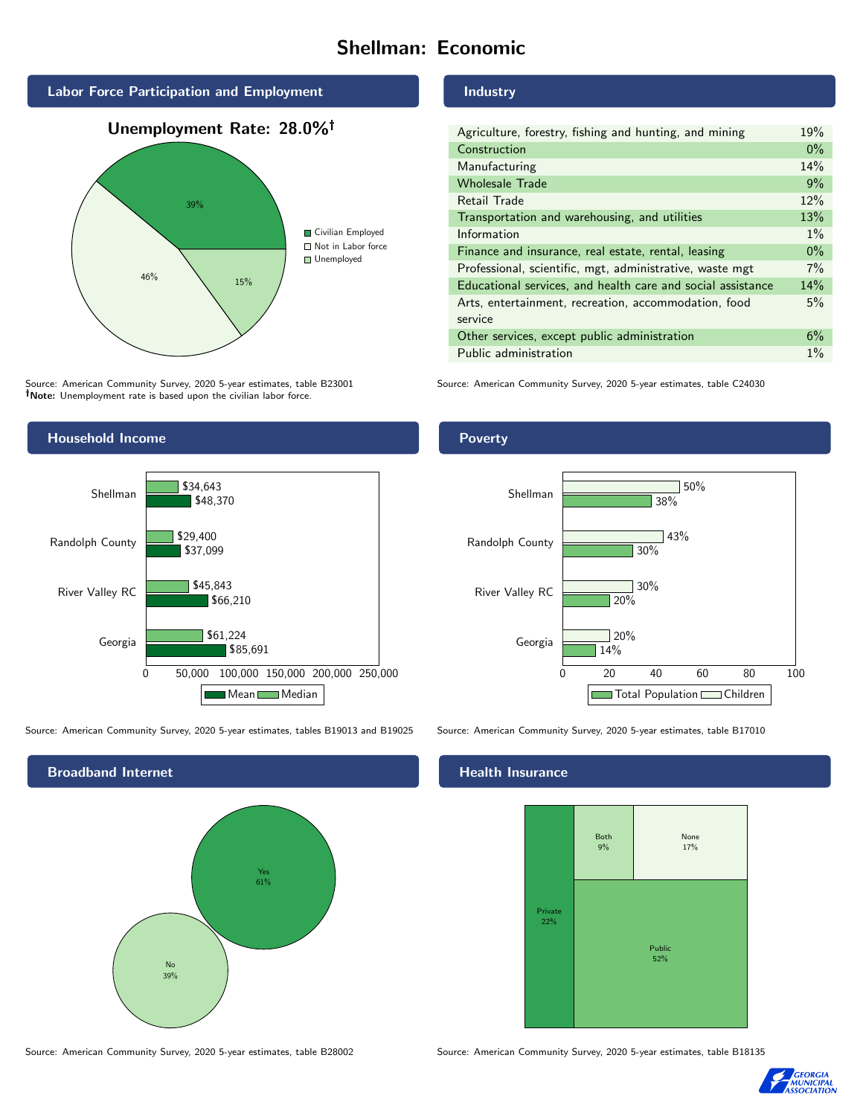# Shellman: Economic



Source: American Community Survey, 2020 5-year estimates, table B23001 Note: Unemployment rate is based upon the civilian labor force.

# Industry

| Agriculture, forestry, fishing and hunting, and mining      |       |  |  |
|-------------------------------------------------------------|-------|--|--|
| Construction                                                |       |  |  |
| Manufacturing                                               | 14%   |  |  |
| <b>Wholesale Trade</b>                                      | 9%    |  |  |
| Retail Trade                                                | 12%   |  |  |
| Transportation and warehousing, and utilities               |       |  |  |
| Information                                                 | $1\%$ |  |  |
| Finance and insurance, real estate, rental, leasing         |       |  |  |
| Professional, scientific, mgt, administrative, waste mgt    |       |  |  |
| Educational services, and health care and social assistance |       |  |  |
| Arts, entertainment, recreation, accommodation, food        |       |  |  |
| service                                                     |       |  |  |
| Other services, except public administration                |       |  |  |
| Public administration                                       |       |  |  |

Source: American Community Survey, 2020 5-year estimates, table C24030



Source: American Community Survey, 2020 5-year estimates, tables B19013 and B19025 Source: American Community Survey, 2020 5-year estimates, table B17010



Poverty



# **Health Insurance**



Source: American Community Survey, 2020 5-year estimates, table B28002 Source: American Community Survey, 2020 5-year estimates, table B18135